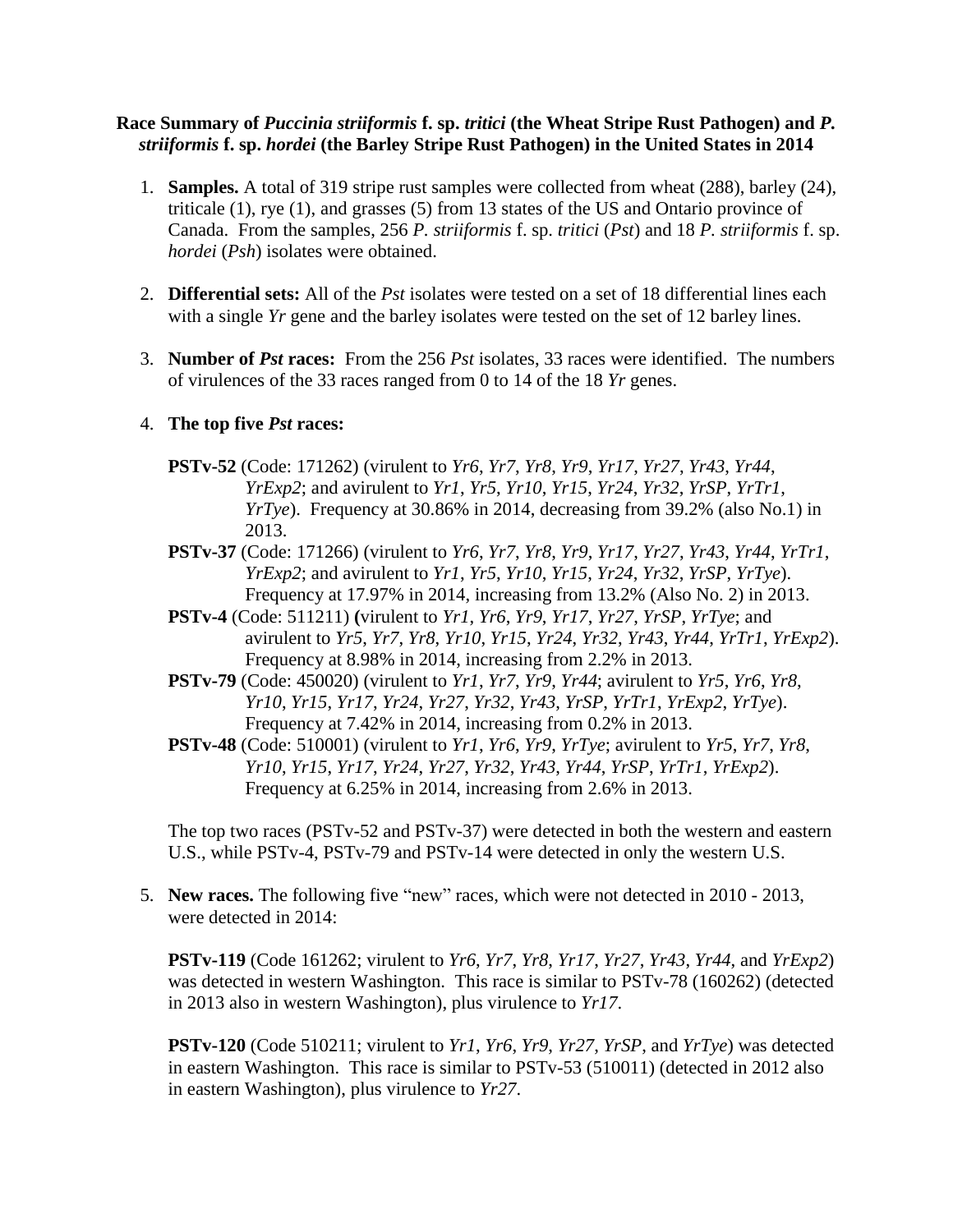## **Race Summary of** *Puccinia striiformis* **f. sp.** *tritici* **(the Wheat Stripe Rust Pathogen) and** *P. striiformis* **f. sp.** *hordei* **(the Barley Stripe Rust Pathogen) in the United States in 2014**

- 1. **Samples.** A total of 319 stripe rust samples were collected from wheat (288), barley (24), triticale (1), rye (1), and grasses (5) from 13 states of the US and Ontario province of Canada. From the samples, 256 *P. striiformis* f. sp. *tritici* (*Pst*) and 18 *P. striiformis* f. sp. *hordei* (*Psh*) isolates were obtained.
- 2. **Differential sets:** All of the *Pst* isolates were tested on a set of 18 differential lines each with a single *Yr* gene and the barley isolates were tested on the set of 12 barley lines.
- 3. **Number of** *Pst* **races:** From the 256 *Pst* isolates, 33 races were identified. The numbers of virulences of the 33 races ranged from 0 to 14 of the 18 *Yr* genes.

## 4. **The top five** *Pst* **races:**

- **PSTv-52** (Code: 171262) (virulent to *Yr6*, *Yr7*, *Yr8*, *Yr9*, *Yr17*, *Yr27*, *Yr43*, *Yr44*, *YrExp2*; and avirulent to *Yr1*, *Yr5*, *Yr10*, *Yr15*, *Yr24*, *Yr32*, *YrSP*, *YrTr1*, *YrTye*). Frequency at 30.86% in 2014, decreasing from 39.2% (also No.1) in 2013.
- **PSTv-37** (Code: 171266) (virulent to *Yr6*, *Yr7*, *Yr8*, *Yr9*, *Yr17*, *Yr27*, *Yr43*, *Yr44*, *YrTr1*, *YrExp2*; and avirulent to *Yr1*, *Yr5*, *Yr10*, *Yr15*, *Yr24*, *Yr32*, *YrSP*, *YrTye*). Frequency at 17.97% in 2014, increasing from 13.2% (Also No. 2) in 2013.
- **PSTv-4** (Code: 511211) **(**virulent to *Yr1*, *Yr6*, *Yr9*, *Yr17*, *Yr27*, *YrSP*, *YrTye*; and avirulent to *Yr5*, *Yr7*, *Yr8*, *Yr10*, *Yr15*, *Yr24*, *Yr32*, *Yr43*, *Yr44*, *YrTr1*, *YrExp2*). Frequency at 8.98% in 2014, increasing from 2.2% in 2013.
- **PSTv-79** (Code: 450020) (virulent to *Yr1*, *Yr7*, *Yr9*, *Yr44*; avirulent to *Yr5*, *Yr6*, *Yr8*, *Yr10*, *Yr15*, *Yr17*, *Yr24*, *Yr27*, *Yr32*, *Yr43*, *YrSP*, *YrTr1*, *YrExp2*, *YrTye*). Frequency at 7.42% in 2014, increasing from 0.2% in 2013.
- **PSTv-48** (Code: 510001) (virulent to *Yr1*, *Yr6*, *Yr9*, *YrTye*; avirulent to *Yr5*, *Yr7*, *Yr8*, *Yr10*, *Yr15*, *Yr17*, *Yr24*, *Yr27*, *Yr32*, *Yr43*, *Yr44*, *YrSP*, *YrTr1*, *YrExp2*). Frequency at 6.25% in 2014, increasing from 2.6% in 2013.

The top two races (PSTv-52 and PSTv-37) were detected in both the western and eastern U.S., while PSTv-4, PSTv-79 and PSTv-14 were detected in only the western U.S.

5. **New races.** The following five "new" races, which were not detected in 2010 - 2013, were detected in 2014:

**PSTv-119** (Code 161262; virulent to *Yr6*, *Yr7*, *Yr8*, *Yr17*, *Yr27*, *Yr43*, *Yr44*, and *YrExp2*) was detected in western Washington. This race is similar to PSTv-78 (160262) (detected in 2013 also in western Washington), plus virulence to *Yr17*.

**PSTv-120** (Code 510211; virulent to *Yr1*, *Yr6*, *Yr9*, *Yr27*, *YrSP*, and *YrTye*) was detected in eastern Washington. This race is similar to PSTv-53 (510011) (detected in 2012 also in eastern Washington), plus virulence to *Yr27*.